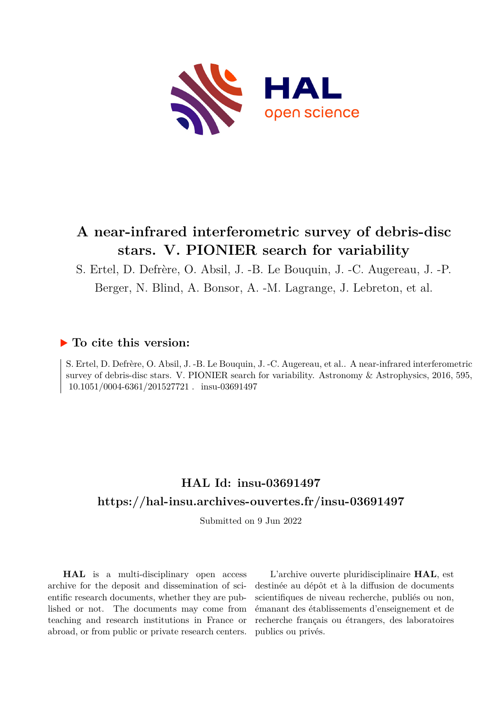

# **A near-infrared interferometric survey of debris-disc stars. V. PIONIER search for variability**

S. Ertel, D. Defrère, O. Absil, J. -B. Le Bouquin, J. -C. Augereau, J. -P.

Berger, N. Blind, A. Bonsor, A. -M. Lagrange, J. Lebreton, et al.

# **To cite this version:**

S. Ertel, D. Defrère, O. Absil, J. -B. Le Bouquin, J. -C. Augereau, et al.. A near-infrared interferometric survey of debris-disc stars. V. PIONIER search for variability. Astronomy & Astrophysics, 2016, 595, 10.1051/0004-6361/201527721 . insu-03691497

# **HAL Id: insu-03691497 <https://hal-insu.archives-ouvertes.fr/insu-03691497>**

Submitted on 9 Jun 2022

**HAL** is a multi-disciplinary open access archive for the deposit and dissemination of scientific research documents, whether they are published or not. The documents may come from teaching and research institutions in France or abroad, or from public or private research centers.

L'archive ouverte pluridisciplinaire **HAL**, est destinée au dépôt et à la diffusion de documents scientifiques de niveau recherche, publiés ou non, émanant des établissements d'enseignement et de recherche français ou étrangers, des laboratoires publics ou privés.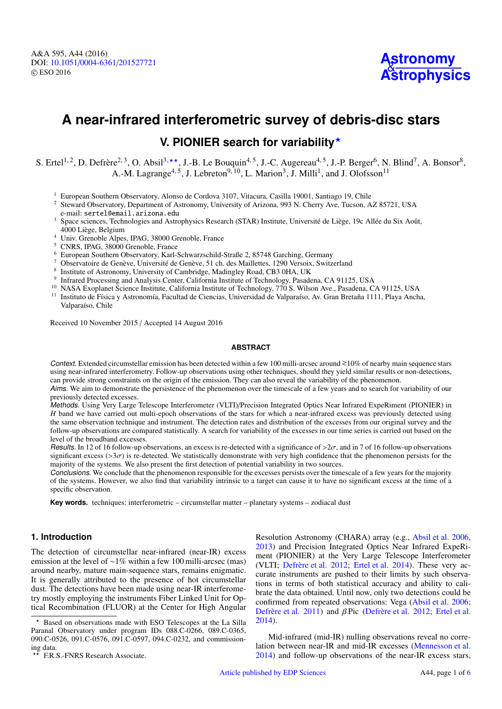A&A 595, A44 (2016) DOI: 10.1051/0004-6361/[201527721](http://dx.doi.org/10.1051/0004-6361/201527721) c ESO 2016

**Astronomy [Astrophysics](http://www.aanda.org)**

# **A near-infrared interferometric survey of debris-disc stars**

# **V. PIONIER search for variability**<sup>\*</sup>

S. Ertel<sup>1,2</sup>, D. Defrère<sup>2,3</sup>, O. Absil<sup>3,\*\*</sup>, J.-B. Le Bouquin<sup>4,5</sup>, J.-C. Augereau<sup>4,5</sup>, J.-P. Berger<sup>6</sup>, N. Blind<sup>7</sup>, A. Bonsor<sup>8</sup>, A.-M. Lagrange<sup>4, 5</sup>, J. Lebreton<sup>9, 10</sup>, L. Marion<sup>3</sup>, J. Milli<sup>1</sup>, and J. Olofsson<sup>11</sup>

<sup>1</sup> European Southern Observatory, Alonso de Cordova 3107, Vitacura, Casilla 19001, Santiago 19, Chile

<sup>2</sup> Steward Observatory, Department of Astronomy, University of Arizona, 993 N. Cherry Ave, Tucson, AZ 85721, USA e-mail: sertel@email.arizona.edu

<sup>3</sup> Space sciences, Technologies and Astrophysics Research (STAR) Institute, Université de Liège, 19c Allée du Six Août, 4000 Liège, Belgium

<sup>4</sup> Univ. Grenoble Alpes, IPAG, 38000 Grenoble, France

<sup>5</sup> CNRS, IPAG, 38000 Grenoble, France

<sup>6</sup> European Southern Observatory, Karl-Schwarzschild-Straße 2, 85748 Garching, Germany

- <sup>7</sup> Observatoire de Genève, Université de Genève, 51 ch. des Maillettes, 1290 Versoix, Switzerland
- 8 Institute of Astronomy, University of Cambridge, Madingley Road, CB3 0HA, UK
- 9 Infrared Processing and Analysis Center, California Institute of Technology, Pasadena, CA 91125, USA
- <sup>10</sup> NASA Exoplanet Science Institute, California Institute of Technology, 770 S. Wilson Ave., Pasadena, CA 91125, USA
- <sup>11</sup> Instituto de Física y Astronomía, Facultad de Ciencias, Universidad de Valparaíso, Av. Gran Bretaña 1111, Playa Ancha, Valparaíso, Chile

Received 10 November 2015 / Accepted 14 August 2016

### **ABSTRACT**

Context. Extended circumstellar emission has been detected within a few 100 milli-arcsec around <sup>&</sup>gt;∼10% of nearby main sequence stars using near-infrared interferometry. Follow-up observations using other techniques, should they yield similar results or non-detections, can provide strong constraints on the origin of the emission. They can also reveal the variability of the phenomenon.

Aims. We aim to demonstrate the persistence of the phenomenon over the timescale of a few years and to search for variability of our previously detected excesses.

Methods. Using Very Large Telescope Interferometer (VLTI)/Precision Integrated Optics Near Infrared ExpeRiment (PIONIER) in *H* band we have carried out multi-epoch observations of the stars for which a near-infrared excess was previously detected using the same observation technique and instrument. The detection rates and distribution of the excesses from our original survey and the follow-up observations are compared statistically. A search for variability of the excesses in our time series is carried out based on the level of the broadband excesses.

Results. In 12 of 16 follow-up observations, an excess is re-detected with a significance of  $>2\sigma$ , and in 7 of 16 follow-up observations significant excess ( $>3\sigma$ ) is re-detected. We statistically demonstrate with very high confidence that the phenomenon persists for the majority of the systems. We also present the first detection of potential variability in two sources.

Conclusions. We conclude that the phenomenon responsible for the excesses persists over the timescale of a few years for the majority of the systems. However, we also find that variability intrinsic to a target can cause it to have no significant excess at the time of a specific observation.

**Key words.** techniques: interferometric – circumstellar matter – planetary systems – zodiacal dust

# **1. Introduction**

The detection of circumstellar near-infrared (near-IR) excess emission at the level of ∼1% within a few 100 milli-arcsec (mas) around nearby, mature main-sequence stars, remains enigmatic. It is generally attributed to the presence of hot circumstellar dust. The detections have been made using near-IR interferometry mostly employing the instruments Fiber Linked Unit for Optical Recombination (FLUOR) at the Center for High Angular

Resolution Astronomy (CHARA) array (e.g., Absil et al. 2006, 2013) and Precision Integrated Optics Near Infrared ExpeRiment (PIONIER) at the Very Large Telescope Interferometer (VLTI; Defrère et al. 2012; Ertel et al. 2014). These very accurate instruments are pushed to their limits by such observations in terms of both statistical accuracy and ability to calibrate the data obtained. Until now, only two detections could be confirmed from repeated observations: Vega (Absil et al. 2006; Defrère et al. 2011) and β Pic (Defrère et al. 2012; Ertel et al. 2014).

Mid-infrared (mid-IR) nulling observations reveal no correlation between near-IR and mid-IR excesses (Mennesson et al. 2014) and follow-up observations of the near-IR excess stars,

<sup>?</sup> Based on observations made with ESO Telescopes at the La Silla Paranal Observatory under program IDs 088.C-0266, 089.C-0365, 090.C-0526, 091.C-0576, 091.C-0597, 094.C-0232, and commissioning data.

F.R.S.-FNRS Research Associate.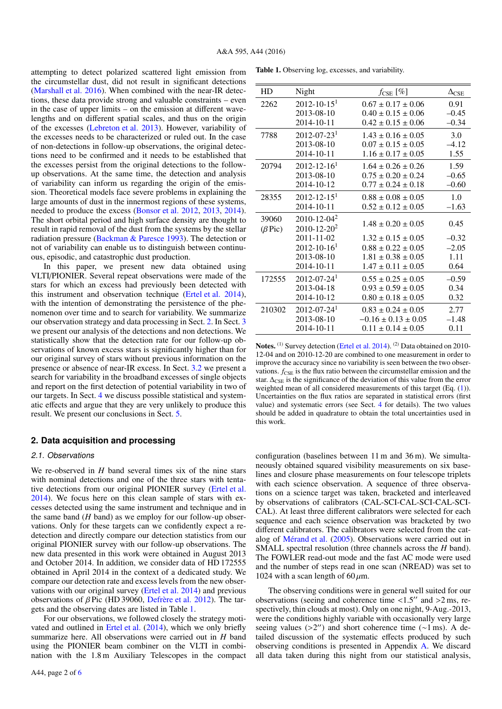attempting to detect polarized scattered light emission from the circumstellar dust, did not result in significant detections (Marshall et al. 2016). When combined with the near-IR detections, these data provide strong and valuable constraints – even in the case of upper limits – on the emission at different wavelengths and on different spatial scales, and thus on the origin of the excesses (Lebreton et al. 2013). However, variability of the excesses needs to be characterized or ruled out. In the case of non-detections in follow-up observations, the original detections need to be confirmed and it needs to be established that the excesses persist from the original detections to the followup observations. At the same time, the detection and analysis of variability can inform us regarding the origin of the emission. Theoretical models face severe problems in explaining the large amounts of dust in the innermost regions of these systems, needed to produce the excess (Bonsor et al. 2012, 2013, 2014). The short orbital period and high surface density are thought to result in rapid removal of the dust from the systems by the stellar radiation pressure (Backman & Paresce 1993). The detection or not of variability can enable us to distinguish between continuous, episodic, and catastrophic dust production.

In this paper, we present new data obtained using VLTI/PIONIER. Several repeat observations were made of the stars for which an excess had previously been detected with this instrument and observation technique (Ertel et al. 2014), with the intention of demonstrating the persistence of the phenomenon over time and to search for variability. We summarize our observation strategy and data processing in Sect. 2. In Sect. 3 we present our analysis of the detections and non detections. We statistically show that the detection rate for our follow-up observations of known excess stars is significantly higher than for our original survey of stars without previous information on the presence or absence of near-IR excess. In Sect. 3.2 we present a search for variability in the broadband excesses of single objects and report on the first detection of potential variability in two of our targets. In Sect. 4 we discuss possible statistical and systematic effects and argue that they are very unlikely to produce this result. We present our conclusions in Sect. 5.

### **2. Data acquisition and processing**

#### 2.1. Observations

We re-observed in *H* band several times six of the nine stars with nominal detections and one of the three stars with tentative detections from our original PIONIER survey (Ertel et al. 2014). We focus here on this clean sample of stars with excesses detected using the same instrument and technique and in the same band (*H* band) as we employ for our follow-up observations. Only for these targets can we confidently expect a redetection and directly compare our detection statistics from our original PIONIER survey with our follow-up observations. The new data presented in this work were obtained in August 2013 and October 2014. In addition, we consider data of HD 172555 obtained in April 2014 in the context of a dedicated study. We compare our detection rate and excess levels from the new observations with our original survey (Ertel et al. 2014) and previous observations of β Pic (HD 39060, Defrère et al. 2012). The targets and the observing dates are listed in Table 1.

For our observations, we followed closely the strategy motivated and outlined in Ertel et al. (2014), which we only briefly summarize here. All observations were carried out in *H* band using the PIONIER beam combiner on the VLTI in combination with the 1.8 m Auxiliary Telescopes in the compact

Table 1. Observing log, excesses, and variability.

| HD            | Night                         | $f_{\text{CSE}} [\%]$     | $\Delta_{\rm CSE}$ |
|---------------|-------------------------------|---------------------------|--------------------|
| 2262          | $2012 - 10 - 151$             | $0.67 \pm 0.17 \pm 0.06$  | 0.91               |
|               | 2013-08-10                    | $0.40 \pm 0.15 \pm 0.06$  | $-0.45$            |
|               | 2014-10-11                    | $0.42 \pm 0.15 \pm 0.06$  | $-0.34$            |
| 7788          | $2012 - 07 - 231$             | $1.43 \pm 0.16 \pm 0.05$  | 3.0                |
|               | 2013-08-10                    | $0.07 \pm 0.15 \pm 0.05$  | $-4.12$            |
|               | 2014-10-11                    | $1.16 \pm 0.17 \pm 0.05$  | 1.55               |
| 20794         | $2012 - 12 - 161$             | $1.64 \pm 0.26 \pm 0.26$  | 1.59               |
|               | 2013-08-10                    | $0.75 \pm 0.20 \pm 0.24$  | $-0.65$            |
|               | 2014-10-12                    | $0.77 \pm 0.24 \pm 0.18$  | $-0.60$            |
| 28355         | $2012 - 12 - 151$             | $0.88 \pm 0.08 \pm 0.05$  | 1.0                |
|               | $2014 - 10 - 11$              | $0.52 \pm 0.12 \pm 0.05$  | $-1.63$            |
| 39060         | $2010 - 12 - 04^2$            |                           |                    |
| $(\beta$ Pic) | $2010 - 12 - 20^2$            | $1.48 \pm 0.20 \pm 0.05$  | 0.45               |
|               | 2011-11-02                    | $1.32 \pm 0.15 \pm 0.05$  | $-0.32$            |
|               | $2012 - 10 - 161$             | $0.88 \pm 0.22 \pm 0.05$  | $-2.05$            |
|               | 2013-08-10                    | $1.81 \pm 0.38 \pm 0.05$  | 1.11               |
|               | 2014-10-11                    | $1.47 \pm 0.11 \pm 0.05$  | 0.64               |
| 172555        | $2012 - 07 - 24$ <sup>1</sup> | $0.55 \pm 0.25 \pm 0.05$  | $-0.59$            |
|               | 2013-04-18                    | $0.93 \pm 0.59 \pm 0.05$  | 0.34               |
|               | 2014-10-12                    | $0.80 \pm 0.18 \pm 0.05$  | 0.32               |
| 210302        | $2012 - 07 - 24$ <sup>1</sup> | $0.83 \pm 0.24 \pm 0.05$  | 2.77               |
|               | 2013-08-10                    | $-0.16 \pm 0.13 \pm 0.05$ | $-1.48$            |
|               | 2014-10-11                    | $0.11 \pm 0.14 \pm 0.05$  | 0.11               |
|               |                               |                           |                    |

Notes. (1) Survey detection (Ertel et al. 2014). (2) Data obtained on 2010-12-04 and on 2010-12-20 are combined to one measurement in order to improve the accuracy since no variability is seen between the two observations.  $f_{\text{CSE}}$  is the flux ratio between the circumstellar emission and the star.  $\Delta_{\text{CSE}}$  is the significance of the deviation of this value from the error weighted mean of all considered measurements of this target (Eq. (1)). Uncertainties on the flux ratios are separated in statistical errors (first value) and systematic errors (see Sect. 4 for details). The two values should be added in quadrature to obtain the total uncertainties used in this work.

configuration (baselines between 11 m and 36 m). We simultaneously obtained squared visibility measurements on six baselines and closure phase measurements on four telescope triplets with each science observation. A sequence of three observations on a science target was taken, bracketed and interleaved by observations of calibrators (CAL-SCI-CAL-SCI-CAL-SCI-CAL). At least three different calibrators were selected for each sequence and each science observation was bracketed by two different calibrators. The calibrators were selected from the catalog of Mérand et al. (2005). Observations were carried out in SMALL spectral resolution (three channels across the *H* band). The FOWLER read-out mode and the fast AC mode were used and the number of steps read in one scan (NREAD) was set to 1024 with a scan length of 60  $\mu$ m.

The observing conditions were in general well suited for our observations (seeing and coherence time  $\langle 1.5'' \rangle$  and  $>2 \text{ ms}$ , respectively thin clouds at most). Only on one night 9-Aug -2013 spectively, thin clouds at most). Only on one night, 9-Aug.-2013, were the conditions highly variable with occasionally very large seeing values (>2") and short coherence time ( $\sim$ 1 ms). A detailed discussion of the systematic effects produced by such tailed discussion of the systematic effects produced by such observing conditions is presented in Appendix A. We discard all data taken during this night from our statistical analysis,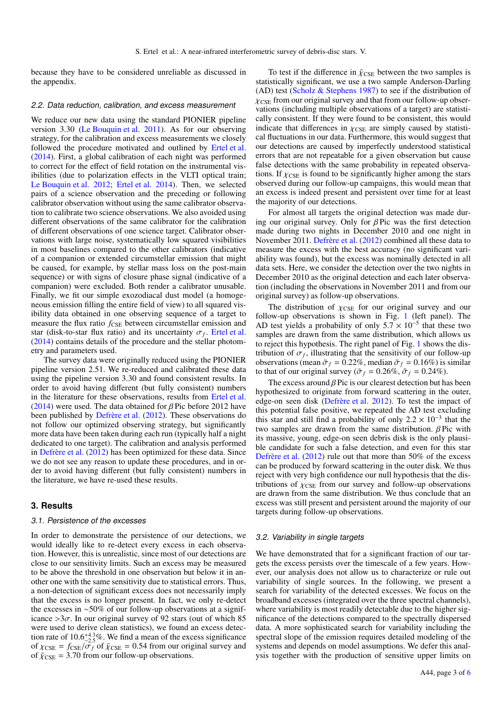because they have to be considered unreliable as discussed in the appendix.

#### 2.2. Data reduction, calibration, and excess measurement

We reduce our new data using the standard PIONIER pipeline version 3.30 (Le Bouquin et al. 2011). As for our observing strategy, for the calibration and excess measurements we closely followed the procedure motivated and outlined by Ertel et al. (2014). First, a global calibration of each night was performed to correct for the effect of field rotation on the instrumental visibilities (due to polarization effects in the VLTI optical train; Le Bouquin et al. 2012; Ertel et al. 2014). Then, we selected pairs of a science observation and the preceding or following calibrator observation without using the same calibrator observation to calibrate two science observations. We also avoided using different observations of the same calibrator for the calibration of different observations of one science target. Calibrator observations with large noise, systematically low squared visibilities in most baselines compared to the other calibrators (indicative of a companion or extended circumstellar emission that might be caused, for example, by stellar mass loss on the post-main sequence) or with signs of closure phase signal (indicative of a companion) were excluded. Both render a calibrator unusable. Finally, we fit our simple exozodiacal dust model (a homogeneous emission filling the entire field of view) to all squared visibility data obtained in one observing sequence of a target to measure the flux ratio  $f_{\text{CSE}}$  between circumstellar emission and star (disk-to-star flux ratio) and its uncertainty  $\sigma_f$ . Ertel et al.<br>(2014) contains details of the procedure and the stellar photom-(2014) contains details of the procedure and the stellar photometry and parameters used.

The survey data were originally reduced using the PIONIER pipeline version 2.51. We re-reduced and calibrated these data using the pipeline version 3.30 and found consistent results. In order to avoid having different (but fully consistent) numbers in the literature for these observations, results from Ertel et al. (2014) were used. The data obtained for  $\beta$  Pic before 2012 have been published by Defrère et al. (2012). These observations do not follow our optimized observing strategy, but significantly more data have been taken during each run (typically half a night dedicated to one target). The calibration and analysis performed in Defrère et al. (2012) has been optimized for these data. Since we do not see any reason to update these procedures, and in order to avoid having different (but fully consistent) numbers in the literature, we have re-used these results.

# **3. Results**

#### 3.1. Persistence of the excesses

In order to demonstrate the persistence of our detections, we would ideally like to re-detect every excess in each observation. However, this is unrealistic, since most of our detections are close to our sensitivity limits. Such an excess may be measured to be above the threshold in one observation but below it in another one with the same sensitivity due to statistical errors. Thus, a non-detection of significant excess does not necessarily imply that the excess is no longer present. In fact, we only re-detect the excesses in ∼50% of our follow-up observations at a significance  $>3\sigma$ . In our original survey of 92 stars (out of which 85 were used to derive clean statistics), we found an excess detection rate of 10.6<sup>+4.3</sup>%. We find a mean of the excess significance<br>of  $V_{CSE} = f_{CSE}/\sigma_f$  of  $\bar{V}_{CSE} = 0.54$  from our original survey and of  $\chi_{\text{CSE}} = f_{\text{CSE}} / \sigma_f$  of  $\bar{\chi}_{\text{CSE}} = 0.54$  from our original survey and of  $\bar{\chi}_{\text{CSE}} = 3.70$  from our follow-up observations.

To test if the difference in  $\bar{\chi}_{\text{CSE}}$  between the two samples is statistically significant, we use a two sample Anderson-Darling (AD) test (Scholz  $&$  Stephens 1987) to see if the distribution of  $\chi$ CSE from our original survey and that from our follow-up observations (including multiple observations of a target) are statistically consistent. If they were found to be consistent, this would indicate that differences in  $\chi$ CSE are simply caused by statistical fluctuations in our data. Furthermore, this would suggest that our detections are caused by imperfectly understood statistical errors that are not repeatable for a given observation but cause false detections with the same probability in repeated observations. If  $\chi_{\text{CSE}}$  is found to be significantly higher among the stars observed during our follow-up campaigns, this would mean that an excess is indeed present and persistent over time for at least the majority of our detections.

For almost all targets the original detection was made during our original survey. Only for  $\beta$  Pic was the first detection made during two nights in December 2010 and one night in November 2011. Defrère et al. (2012) combined all these data to measure the excess with the best accuracy (no significant variability was found), but the excess was nominally detected in all data sets. Here, we consider the detection over the two nights in December 2010 as the original detection and each later observation (including the observations in November 2011 and from our original survey) as follow-up observations.

The distribution of  $\chi$ CSE for our original survey and our follow-up observations is shown in Fig. 1 (left panel). The AD test yields a probability of only  $5.7 \times 10^{-5}$  that these two samples are drawn from the same distribution which allows us samples are drawn from the same distribution, which allows us to reject this hypothesis. The right panel of Fig. 1 shows the distribution of  $\sigma_f$ , illustrating that the sensitivity of our follow-up<br>observations (mean  $\bar{\sigma}_f = 0.22\%$  median  $\tilde{\sigma}_f = 0.16\%$ ) is similar observations (mean  $\bar{\sigma}_f = 0.22\%$ , median  $\tilde{\sigma}_f = 0.16\%$ ) is similar to that of our original survey ( $\bar{\sigma}_f = 0.26\%, \tilde{\sigma}_f = 0.24\%$ ).

The excess around  $\beta$  Pic is our clearest detection but has been hypothesized to originate from forward scattering in the outer, edge-on seen disk (Defrère et al. 2012). To test the impact of this potential false positive, we repeated the AD test excluding this star and still find a probability of only  $2.2 \times 10^{-3}$  that the two samples are drawn from the same distribution *B* Pic with two samples are drawn from the same distribution.  $\beta$  Pic with its massive, young, edge-on seen debris disk is the only plausible candidate for such a false detection, and even for this star Defrère et al. (2012) rule out that more than 50% of the excess can be produced by forward scattering in the outer disk. We thus reject with very high confidence our null hypothesis that the distributions of  $\chi_{\text{CSE}}$  from our survey and follow-up observations are drawn from the same distribution. We thus conclude that an excess was still present and persistent around the majority of our targets during follow-up observations.

#### 3.2. Variability in single targets

We have demonstrated that for a significant fraction of our targets the excess persists over the timescale of a few years. However, our analysis does not allow us to characterize or rule out variability of single sources. In the following, we present a search for variability of the detected excesses. We focus on the broadband excesses (integrated over the three spectral channels), where variability is most readily detectable due to the higher significance of the detections compared to the spectrally dispersed data. A more sophisticated search for variability including the spectral slope of the emission requires detailed modeling of the systems and depends on model assumptions. We defer this analysis together with the production of sensitive upper limits on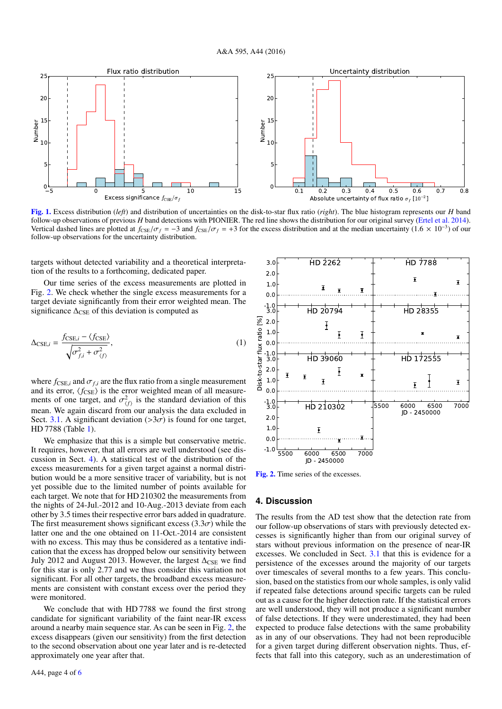

[Fig. 1.](http://dexter.edpsciences.org/applet.php?DOI=10.1051/0004-6361/201527721&pdf_id=1) Excess distribution (*left*) and distribution of uncertainties on the disk-to-star flux ratio (*right*). The blue histogram represents our *H* band follow-up observations of previous *H* band detections with PIONIER. The red line shows the distribution for our original survey (Ertel et al. 2014). Vertical dashed lines are plotted at  $f_{\text{CSE}}/\sigma_f = -3$  and  $f_{\text{CSE}}/\sigma_f = +3$  for the excess distribution and at the median uncertainty (1.6 × 10<sup>-3</sup>) of our follow-up observations for the uncertainty distribution follow-up observations for the uncertainty distribution.

targets without detected variability and a theoretical interpretation of the results to a forthcoming, dedicated paper.

Our time series of the excess measurements are plotted in Fig. 2. We check whether the single excess measurements for a target deviate significantly from their error weighted mean. The significance  $\Delta_{\text{CSE}}$  of this deviation is computed as

$$
\Delta_{\text{CSE},i} = \frac{f_{\text{CSE},i} - \langle f_{\text{CSE}} \rangle}{\sqrt{\sigma_{f,i}^2 + \sigma_{\langle f \rangle}^2}},\tag{1}
$$

where  $f_{\text{CSE},i}$  and  $\sigma_{f,i}$  are the flux ratio from a single measurement and its error,  $\langle f_{\text{CSE}} \rangle$  is the error weighted mean of all measurements of one target, and  $\sigma_{(f)}^2$  is the standard deviation of this mean. We again discard from our analysis the data excluded in mean. We again discard from our analysis the data excluded in Sect. 3.1. A significant deviation ( $>3\sigma$ ) is found for one target, HD 7788 (Table 1).

We emphasize that this is a simple but conservative metric. It requires, however, that all errors are well understood (see discussion in Sect. 4). A statistical test of the distribution of the excess measurements for a given target against a normal distribution would be a more sensitive tracer of variability, but is not yet possible due to the limited number of points available for each target. We note that for HD 210302 the measurements from the nights of 24-Jul.-2012 and 10-Aug.-2013 deviate from each other by 3.5 times their respective error bars added in quadrature. The first measurement shows significant excess  $(3.3\sigma)$  while the latter one and the one obtained on 11-Oct.-2014 are consistent with no excess. This may thus be considered as a tentative indication that the excess has dropped below our sensitivity between July 2012 and August 2013. However, the largest  $\Delta_{\text{CSE}}$  we find for this star is only 2.77 and we thus consider this variation not significant. For all other targets, the broadband excess measurements are consistent with constant excess over the period they were monitored.

We conclude that with HD 7788 we found the first strong candidate for significant variability of the faint near-IR excess around a nearby main sequence star. As can be seen in Fig. 2, the excess disappears (given our sensitivity) from the first detection to the second observation about one year later and is re-detected approximately one year after that.



[Fig. 2.](http://dexter.edpsciences.org/applet.php?DOI=10.1051/0004-6361/201527721&pdf_id=2) Time series of the excesses.

## **4. Discussion**

The results from the AD test show that the detection rate from our follow-up observations of stars with previously detected excesses is significantly higher than from our original survey of stars without previous information on the presence of near-IR excesses. We concluded in Sect. 3.1 that this is evidence for a persistence of the excesses around the majority of our targets over timescales of several months to a few years. This conclusion, based on the statistics from our whole samples, is only valid if repeated false detections around specific targets can be ruled out as a cause for the higher detection rate. If the statistical errors are well understood, they will not produce a significant number of false detections. If they were underestimated, they had been expected to produce false detections with the same probability as in any of our observations. They had not been reproducible for a given target during different observation nights. Thus, effects that fall into this category, such as an underestimation of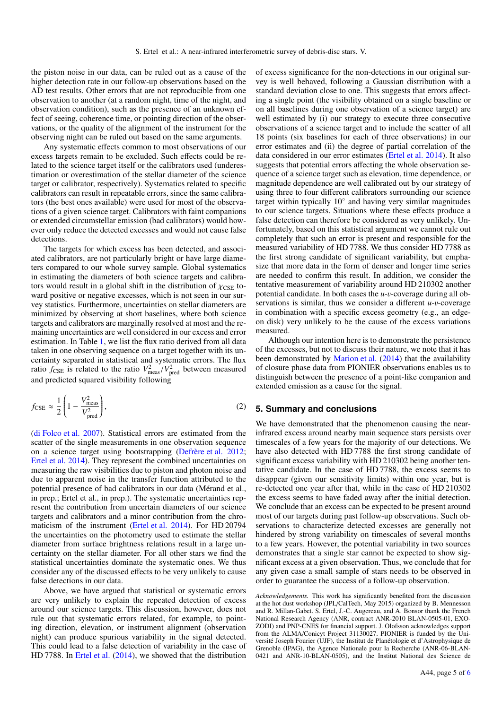the piston noise in our data, can be ruled out as a cause of the higher detection rate in our follow-up observations based on the AD test results. Other errors that are not reproducible from one observation to another (at a random night, time of the night, and observation condition), such as the presence of an unknown effect of seeing, coherence time, or pointing direction of the observations, or the quality of the alignment of the instrument for the observing night can be ruled out based on the same arguments.

Any systematic effects common to most observations of our excess targets remain to be excluded. Such effects could be related to the science target itself or the calibrators used (underestimation or overestimation of the stellar diameter of the science target or calibrator, respectively). Systematics related to specific calibrators can result in repeatable errors, since the same calibrators (the best ones available) were used for most of the observations of a given science target. Calibrators with faint companions or extended circumstellar emission (bad calibrators) would however only reduce the detected excesses and would not cause false detections.

The targets for which excess has been detected, and associated calibrators, are not particularly bright or have large diameters compared to our whole survey sample. Global systematics in estimating the diameters of both science targets and calibrators would result in a global shift in the distribution of  $\chi_{\text{CSE}}$  toward positive or negative excesses, which is not seen in our survey statistics. Furthermore, uncertainties on stellar diameters are minimized by observing at short baselines, where both science targets and calibrators are marginally resolved at most and the remaining uncertainties are well considered in our excess and error estimation. In Table 1, we list the flux ratio derived from all data taken in one observing sequence on a target together with its uncertainty separated in statistical and systematic errors. The flux ratio  $f_{\text{CSE}}$  is related to the ratio  $V_{\text{meas}}^2/V_{\text{pred}}^2$  between measured and predicted squared visibility following

$$
f_{\text{CSE}} \approx \frac{1}{2} \left( 1 - \frac{V_{\text{meas}}^2}{V_{\text{pred}}^2} \right),\tag{2}
$$

(di Folco et al. 2007). Statistical errors are estimated from the scatter of the single measurements in one observation sequence on a science target using bootstrapping (Defrère et al. 2012; Ertel et al. 2014). They represent the combined uncertainties on measuring the raw visibilities due to piston and photon noise and due to apparent noise in the transfer function attributed to the potential presence of bad calibrators in our data (Mérand et al., in prep.; Ertel et al., in prep.). The systematic uncertainties represent the contribution from uncertain diameters of our science targets and calibrators and a minor contribution from the chromaticism of the instrument (Ertel et al. 2014). For HD 20794 the uncertainties on the photometry used to estimate the stellar diameter from surface brightness relations result in a large uncertainty on the stellar diameter. For all other stars we find the statistical uncertainties dominate the systematic ones. We thus consider any of the discussed effects to be very unlikely to cause false detections in our data.

Above, we have argued that statistical or systematic errors are very unlikely to explain the repeated detection of excess around our science targets. This discussion, however, does not rule out that systematic errors related, for example, to pointing direction, elevation, or instrument alignment (observation night) can produce spurious variability in the signal detected. This could lead to a false detection of variability in the case of HD 7788. In Ertel et al. (2014), we showed that the distribution

of excess significance for the non-detections in our original survey is well behaved, following a Gaussian distribution with a standard deviation close to one. This suggests that errors affecting a single point (the visibility obtained on a single baseline or on all baselines during one observation of a science target) are well estimated by (i) our strategy to execute three consecutive observations of a science target and to include the scatter of all 18 points (six baselines for each of three observations) in our error estimates and (ii) the degree of partial correlation of the data considered in our error estimates (Ertel et al. 2014). It also suggests that potential errors affecting the whole observation sequence of a science target such as elevation, time dependence, or magnitude dependence are well calibrated out by our strategy of using three to four different calibrators surrounding our science target within typically 10° and having very similar magnitudes to our science targets. Situations where these effects produce a false detection can therefore be considered as very unlikely. Unfortunately, based on this statistical argument we cannot rule out completely that such an error is present and responsible for the measured variability of HD 7788. We thus consider HD 7788 as the first strong candidate of significant variability, but emphasize that more data in the form of denser and longer time series are needed to confirm this result. In addition, we consider the tentative measurement of variability around HD 210302 another potential candidate. In both cases the *<sup>u</sup>*-v-coverage during all observations is similar, thus we consider a different *<sup>u</sup>*-v-coverage in combination with a specific excess geometry (e.g., an edgeon disk) very unlikely to be the cause of the excess variations measured.

Although our intention here is to demonstrate the persistence of the excesses, but not to discuss their nature, we note that it has been demonstrated by Marion et al. (2014) that the availability of closure phase data from PIONIER observations enables us to distinguish between the presence of a point-like companion and extended emission as a cause for the signal.

# **5. Summary and conclusions**

We have demonstrated that the phenomenon causing the nearinfrared excess around nearby main sequence stars persists over timescales of a few years for the majority of our detections. We have also detected with HD 7788 the first strong candidate of significant excess variability with HD 210302 being another tentative candidate. In the case of HD 7788, the excess seems to disappear (given our sensitivity limits) within one year, but is re-detected one year after that, while in the case of HD 210302 the excess seems to have faded away after the initial detection. We conclude that an excess can be expected to be present around most of our targets during past follow-up observations. Such observations to characterize detected excesses are generally not hindered by strong variability on timescales of several months to a few years. However, the potential variability in two sources demonstrates that a single star cannot be expected to show significant excess at a given observation. Thus, we conclude that for any given case a small sample of stars needs to be observed in order to guarantee the success of a follow-up observation.

*Acknowledgements.* This work has significantly benefited from the discussion at the hot dust workshop (JPL/CalTech, May 2015) organized by B. Mennesson and R. Millan-Gabet. S. Ertel, J.-C. Augereau, and A. Bonsor thank the French National Research Agency (ANR, contract ANR-2010 BLAN-0505-01, EXO-ZODI) and PNP-CNES for financial support. J. Olofsson acknowledges support from the ALMA/Conicyt Project 31130027. PIONIER is funded by the Université Joseph Fourier (UJF), the Institut de Planétologie et d'Astrophysique de Grenoble (IPAG), the Agence Nationale pour la Recherche (ANR-06-BLAN-0421 and ANR-10-BLAN-0505), and the Institut National des Science de